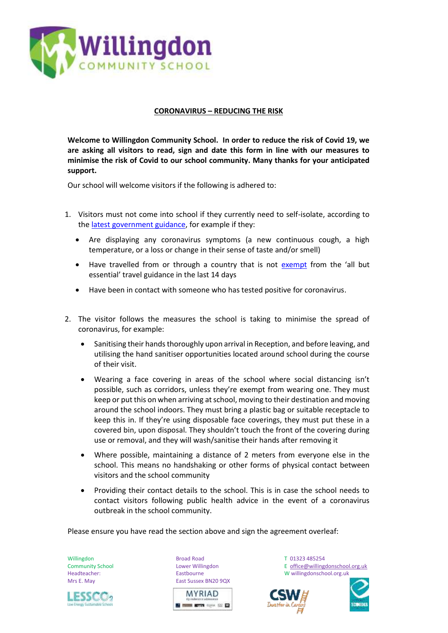

## **CORONAVIRUS – REDUCING THE RISK**

**Welcome to Willingdon Community School. In order to reduce the risk of Covid 19, we are asking all visitors to read, sign and date this form in line with our measures to minimise the risk of Covid to our school community. Many thanks for your anticipated support.** 

Our school will welcome visitors if the following is adhered to:

- 1. Visitors must not come into school if they currently need to self-isolate, according to th[e latest government guidance,](https://www.gov.uk/government/publications/covid-19-stay-at-home-guidance/stay-at-home-guidance-for-households-with-possible-coronavirus-covid-19-infection) for example if they:
	- Are displaying any coronavirus symptoms (a new continuous cough, a high temperature, or a loss or change in their sense of taste and/or smell)
	- Have travelled from or through a country that is not [exempt](https://www.gov.uk/guidance/coronavirus-covid-19-countries-and-territories-exempt-from-advice-against-all-but-essential-international-travel) from the 'all but essential' travel guidance in the last 14 days
	- Have been in contact with someone who has tested positive for coronavirus.
- 2. The visitor follows the measures the school is taking to minimise the spread of coronavirus, for example:
	- Sanitising their hands thoroughly upon arrival in Reception, and before leaving, and utilising the hand sanitiser opportunities located around school during the course of their visit.
	- Wearing a face covering in areas of the school where social distancing isn't possible, such as corridors, unless they're exempt from wearing one. They must keep or put this on when arriving at school, moving to their destination and moving around the school indoors. They must bring a plastic bag or suitable receptacle to keep this in. If they're using disposable face coverings, they must put these in a covered bin, upon disposal. They shouldn't touch the front of the covering during use or removal, and they will wash/sanitise their hands after removing it
	- Where possible, maintaining a distance of 2 meters from everyone else in the school. This means no handshaking or other forms of physical contact between visitors and the school community
	- Providing their contact details to the school. This is in case the school needs to contact visitors following public health advice in the event of a coronavirus outbreak in the school community.

Please ensure you have read the section above and sign the agreement overleaf:



Willingdon **Broad Road COMPUT 01323 485254** Mrs E. May **East Sussex BN20 9QX** 



Community School Lower Willingdon E [office@willingdonschool.org.uk](mailto:office@willingdonschool.org.uk)<br>
Headteacher: Eastbourne Eastbourne Cass of Mullingdonschool.org.uk Headteacher: Eastbourne W willingdonschool.org.uk